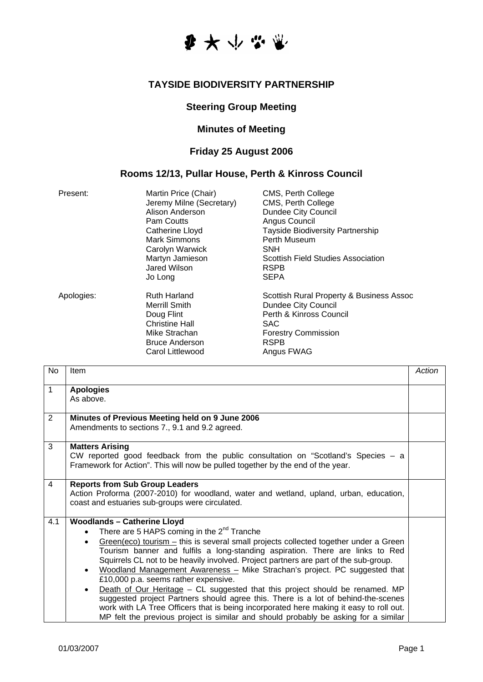

#### **TAYSIDE BIODIVERSITY PARTNERSHIP**

## **Steering Group Meeting**

### **Minutes of Meeting**

# **Friday 25 August 2006**

#### **Rooms 12/13, Pullar House, Perth & Kinross Council**

| Present:   | Martin Price (Chair)<br>Jeremy Milne (Secretary)<br>Alison Anderson<br>Pam Coutts<br>Catherine Lloyd<br>Mark Simmons<br>Carolyn Warwick<br>Martyn Jamieson<br>Jared Wilson<br>Jo Long | CMS, Perth College<br>CMS, Perth College<br>Dundee City Council<br>Angus Council<br><b>Tayside Biodiversity Partnership</b><br>Perth Museum<br><b>SNH</b><br>Scottish Field Studies Association<br><b>RSPB</b><br><b>SEPA</b> |
|------------|---------------------------------------------------------------------------------------------------------------------------------------------------------------------------------------|-------------------------------------------------------------------------------------------------------------------------------------------------------------------------------------------------------------------------------|
| Apologies: | <b>Ruth Harland</b><br><b>Merrill Smith</b><br>Doug Flint<br><b>Christine Hall</b><br>Mike Strachan<br><b>Bruce Anderson</b><br>Carol Littlewood                                      | Scottish Rural Property & Business Assoc<br>Dundee City Council<br>Perth & Kinross Council<br>SAC<br><b>Forestry Commission</b><br><b>RSPB</b><br>Angus FWAG                                                                  |

| No             | <b>Item</b>                                                                                                                                                                                                                                                                                                                                                                                                                                                                                                                                                                                                                                                                                                                                                                                                                                                                              | Action |
|----------------|------------------------------------------------------------------------------------------------------------------------------------------------------------------------------------------------------------------------------------------------------------------------------------------------------------------------------------------------------------------------------------------------------------------------------------------------------------------------------------------------------------------------------------------------------------------------------------------------------------------------------------------------------------------------------------------------------------------------------------------------------------------------------------------------------------------------------------------------------------------------------------------|--------|
| 1              | <b>Apologies</b><br>As above.                                                                                                                                                                                                                                                                                                                                                                                                                                                                                                                                                                                                                                                                                                                                                                                                                                                            |        |
| $\overline{2}$ | Minutes of Previous Meeting held on 9 June 2006<br>Amendments to sections 7., 9.1 and 9.2 agreed.                                                                                                                                                                                                                                                                                                                                                                                                                                                                                                                                                                                                                                                                                                                                                                                        |        |
| 3              | <b>Matters Arising</b><br>CW reported good feedback from the public consultation on "Scotland's Species $-$ a<br>Framework for Action". This will now be pulled together by the end of the year.                                                                                                                                                                                                                                                                                                                                                                                                                                                                                                                                                                                                                                                                                         |        |
| 4              | <b>Reports from Sub Group Leaders</b><br>Action Proforma (2007-2010) for woodland, water and wetland, upland, urban, education,<br>coast and estuaries sub-groups were circulated.                                                                                                                                                                                                                                                                                                                                                                                                                                                                                                                                                                                                                                                                                                       |        |
| 4.1            | <b>Woodlands - Catherine Lloyd</b><br>There are 5 HAPS coming in the $2^{nd}$ Tranche<br>$\bullet$<br>$Green(eco)$ tourism – this is several small projects collected together under a Green<br>$\bullet$<br>Tourism banner and fulfils a long-standing aspiration. There are links to Red<br>Squirrels CL not to be heavily involved. Project partners are part of the sub-group.<br>Woodland Management Awareness - Mike Strachan's project. PC suggested that<br>$\bullet$<br>£10,000 p.a. seems rather expensive.<br>Death of Our Heritage - CL suggested that this project should be renamed. MP<br>$\bullet$<br>suggested project Partners should agree this. There is a lot of behind-the-scenes<br>work with LA Tree Officers that is being incorporated here making it easy to roll out.<br>MP felt the previous project is similar and should probably be asking for a similar |        |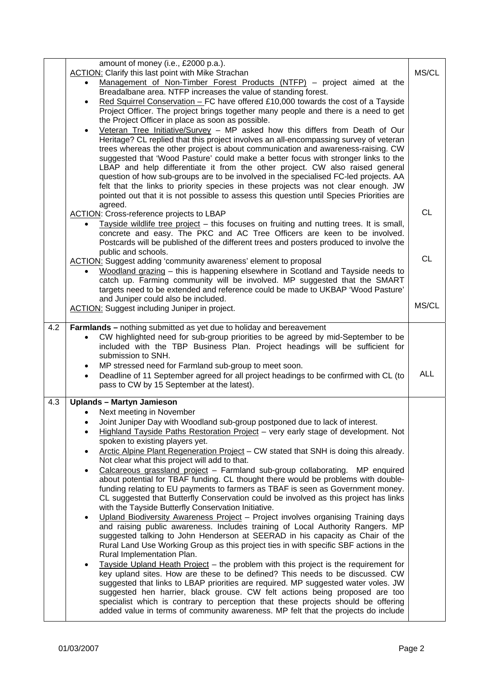|     |           | amount of money (i.e., £2000 p.a.).                                                                                                                                            |            |
|-----|-----------|--------------------------------------------------------------------------------------------------------------------------------------------------------------------------------|------------|
|     |           | <b>ACTION:</b> Clarify this last point with Mike Strachan<br>Management of Non-Timber Forest Products (NTFP) – project aimed at the                                            | MS/CL      |
|     |           | Breadalbane area. NTFP increases the value of standing forest.                                                                                                                 |            |
|     |           | Red Squirrel Conservation - FC have offered £10,000 towards the cost of a Tayside                                                                                              |            |
|     |           | Project Officer. The project brings together many people and there is a need to get                                                                                            |            |
|     |           | the Project Officer in place as soon as possible.                                                                                                                              |            |
|     |           | Veteran Tree Initiative/Survey - MP asked how this differs from Death of Our<br>Heritage? CL replied that this project involves an all-encompassing survey of veteran          |            |
|     |           | trees whereas the other project is about communication and awareness-raising. CW                                                                                               |            |
|     |           | suggested that 'Wood Pasture' could make a better focus with stronger links to the                                                                                             |            |
|     |           | LBAP and help differentiate it from the other project. CW also raised general                                                                                                  |            |
|     |           | question of how sub-groups are to be involved in the specialised FC-led projects. AA                                                                                           |            |
|     |           | felt that the links to priority species in these projects was not clear enough. JW<br>pointed out that it is not possible to assess this question until Species Priorities are |            |
|     |           | agreed.                                                                                                                                                                        |            |
|     |           | <b>ACTION:</b> Cross-reference projects to LBAP                                                                                                                                | <b>CL</b>  |
|     |           | Tayside wildlife tree project - this focuses on fruiting and nutting trees. It is small,                                                                                       |            |
|     |           | concrete and easy. The PKC and AC Tree Officers are keen to be involved.                                                                                                       |            |
|     |           | Postcards will be published of the different trees and posters produced to involve the                                                                                         |            |
|     |           | public and schools.<br><b>ACTION:</b> Suggest adding 'community awareness' element to proposal                                                                                 | <b>CL</b>  |
|     |           | Woodland grazing - this is happening elsewhere in Scotland and Tayside needs to                                                                                                |            |
|     |           | catch up. Farming community will be involved. MP suggested that the SMART                                                                                                      |            |
|     |           | targets need to be extended and reference could be made to UKBAP 'Wood Pasture'                                                                                                |            |
|     |           | and Juniper could also be included.<br><b>ACTION:</b> Suggest including Juniper in project.                                                                                    | MS/CL      |
|     |           |                                                                                                                                                                                |            |
| 4.2 |           | <b>Farmlands</b> – nothing submitted as yet due to holiday and bereavement                                                                                                     |            |
|     | $\bullet$ | CW highlighted need for sub-group priorities to be agreed by mid-September to be                                                                                               |            |
|     |           | included with the TBP Business Plan. Project headings will be sufficient for                                                                                                   |            |
|     | ٠         | submission to SNH.<br>MP stressed need for Farmland sub-group to meet soon.                                                                                                    |            |
|     |           | Deadline of 11 September agreed for all project headings to be confirmed with CL (to                                                                                           | <b>ALL</b> |
|     |           | pass to CW by 15 September at the latest).                                                                                                                                     |            |
| 4.3 |           | <b>Uplands - Martyn Jamieson</b>                                                                                                                                               |            |
|     |           | Next meeting in November                                                                                                                                                       |            |
|     |           | Joint Juniper Day with Woodland sub-group postponed due to lack of interest.                                                                                                   |            |
|     |           | Highland Tayside Paths Restoration Project - very early stage of development. Not                                                                                              |            |
|     |           | spoken to existing players yet.                                                                                                                                                |            |
|     |           | Arctic Alpine Plant Regeneration Project - CW stated that SNH is doing this already.<br>Not clear what this project will add to that.                                          |            |
|     | $\bullet$ | Calcareous grassland project - Farmland sub-group collaborating. MP enquired                                                                                                   |            |
|     |           | about potential for TBAF funding. CL thought there would be problems with double-                                                                                              |            |
|     |           | funding relating to EU payments to farmers as TBAF is seen as Government money.                                                                                                |            |
|     |           | CL suggested that Butterfly Conservation could be involved as this project has links<br>with the Tayside Butterfly Conservation Initiative.                                    |            |
|     | $\bullet$ | Upland Biodiversity Awareness Project - Project involves organising Training days                                                                                              |            |
|     |           | and raising public awareness. Includes training of Local Authority Rangers. MP                                                                                                 |            |
|     |           | suggested talking to John Henderson at SEERAD in his capacity as Chair of the                                                                                                  |            |
|     |           | Rural Land Use Working Group as this project ties in with specific SBF actions in the                                                                                          |            |
|     | $\bullet$ | Rural Implementation Plan.<br>Tayside Upland Heath Project – the problem with this project is the requirement for                                                              |            |
|     |           | key upland sites. How are these to be defined? This needs to be discussed. CW                                                                                                  |            |
|     |           | suggested that links to LBAP priorities are required. MP suggested water voles. JW                                                                                             |            |
|     |           |                                                                                                                                                                                |            |
|     |           | suggested hen harrier, black grouse. CW felt actions being proposed are too                                                                                                    |            |
|     |           | specialist which is contrary to perception that these projects should be offering<br>added value in terms of community awareness. MP felt that the projects do include         |            |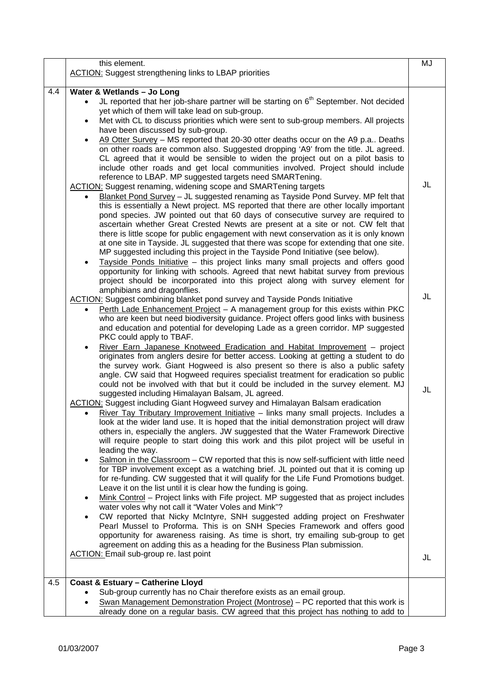|     | this element.<br><b>ACTION:</b> Suggest strengthening links to LBAP priorities                                                                                                                                                                                                                                                                                                                                                                                                                                                                                                                                                                                                                                                                                                                                                                                                                                                                                                                                                                                                                                                                                                                                                                                                                                                                                                                                                                                                                                                                                                                                                         | MJ |
|-----|----------------------------------------------------------------------------------------------------------------------------------------------------------------------------------------------------------------------------------------------------------------------------------------------------------------------------------------------------------------------------------------------------------------------------------------------------------------------------------------------------------------------------------------------------------------------------------------------------------------------------------------------------------------------------------------------------------------------------------------------------------------------------------------------------------------------------------------------------------------------------------------------------------------------------------------------------------------------------------------------------------------------------------------------------------------------------------------------------------------------------------------------------------------------------------------------------------------------------------------------------------------------------------------------------------------------------------------------------------------------------------------------------------------------------------------------------------------------------------------------------------------------------------------------------------------------------------------------------------------------------------------|----|
| 4.4 | Water & Wetlands - Jo Long<br>JL reported that her job-share partner will be starting on 6 <sup>th</sup> September. Not decided<br>yet which of them will take lead on sub-group.<br>Met with CL to discuss priorities which were sent to sub-group members. All projects<br>$\bullet$<br>have been discussed by sub-group.<br>A9 Otter Survey - MS reported that 20-30 otter deaths occur on the A9 p.a Deaths<br>$\bullet$<br>on other roads are common also. Suggested dropping 'A9' from the title. JL agreed.<br>CL agreed that it would be sensible to widen the project out on a pilot basis to<br>include other roads and get local communities involved. Project should include<br>reference to LBAP. MP suggested targets need SMARTening.<br><b>ACTION:</b> Suggest renaming, widening scope and SMARTening targets<br>Blanket Pond Survey - JL suggested renaming as Tayside Pond Survey. MP felt that<br>this is essentially a Newt project. MS reported that there are other locally important<br>pond species. JW pointed out that 60 days of consecutive survey are required to<br>ascertain whether Great Crested Newts are present at a site or not. CW felt that<br>there is little scope for public engagement with newt conservation as it is only known<br>at one site in Tayside. JL suggested that there was scope for extending that one site.<br>MP suggested including this project in the Tayside Pond Initiative (see below).<br>Tayside Ponds Initiative - this project links many small projects and offers good<br>opportunity for linking with schools. Agreed that newt habitat survey from previous | JL |
|     | project should be incorporated into this project along with survey element for<br>amphibians and dragonflies.<br><b>ACTION:</b> Suggest combining blanket pond survey and Tayside Ponds Initiative<br>Perth Lade Enhancement Project - A management group for this exists within PKC<br>$\bullet$<br>who are keen but need biodiversity guidance. Project offers good links with business<br>and education and potential for developing Lade as a green corridor. MP suggested<br>PKC could apply to TBAF.<br>River Earn Japanese Knotweed Eradication and Habitat Improvement - project                                                                                                                                                                                                                                                                                                                                                                                                                                                                                                                                                                                                                                                                                                                                                                                                                                                                                                                                                                                                                                               | JL |
|     | originates from anglers desire for better access. Looking at getting a student to do<br>the survey work. Giant Hogweed is also present so there is also a public safety<br>angle. CW said that Hogweed requires specialist treatment for eradication so public<br>could not be involved with that but it could be included in the survey element. MJ<br>suggested including Himalayan Balsam, JL agreed.<br><b>ACTION:</b> Suggest including Giant Hogweed survey and Himalayan Balsam eradication<br>River Tay Tributary Improvement Initiative - links many small projects. Includes a<br>look at the wider land use. It is hoped that the initial demonstration project will draw<br>others in, especially the anglers. JW suggested that the Water Framework Directive<br>will require people to start doing this work and this pilot project will be useful in<br>leading the way.<br>Salmon in the Classroom – CW reported that this is now self-sufficient with little need<br>$\bullet$                                                                                                                                                                                                                                                                                                                                                                                                                                                                                                                                                                                                                                        | JL |
|     | for TBP involvement except as a watching brief. JL pointed out that it is coming up<br>for re-funding. CW suggested that it will qualify for the Life Fund Promotions budget.<br>Leave it on the list until it is clear how the funding is going.<br>Mink Control – Project links with Fife project. MP suggested that as project includes<br>$\bullet$<br>water voles why not call it "Water Voles and Mink"?<br>CW reported that Nicky McIntyre, SNH suggested adding project on Freshwater<br>Pearl Mussel to Proforma. This is on SNH Species Framework and offers good<br>opportunity for awareness raising. As time is short, try emailing sub-group to get<br>agreement on adding this as a heading for the Business Plan submission.<br><b>ACTION:</b> Email sub-group re. last point                                                                                                                                                                                                                                                                                                                                                                                                                                                                                                                                                                                                                                                                                                                                                                                                                                          | JL |
| 4.5 | <b>Coast &amp; Estuary - Catherine Lloyd</b><br>Sub-group currently has no Chair therefore exists as an email group.<br>Swan Management Demonstration Project (Montrose) – PC reported that this work is<br>already done on a regular basis. CW agreed that this project has nothing to add to                                                                                                                                                                                                                                                                                                                                                                                                                                                                                                                                                                                                                                                                                                                                                                                                                                                                                                                                                                                                                                                                                                                                                                                                                                                                                                                                         |    |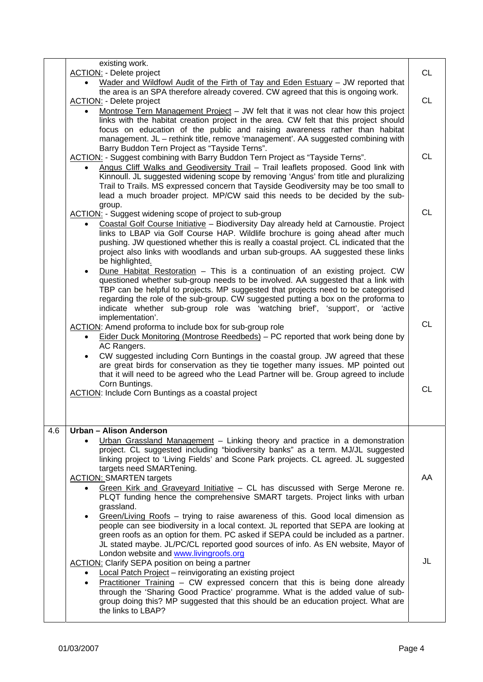|     | existing work.                                                                                                                                                                          |           |
|-----|-----------------------------------------------------------------------------------------------------------------------------------------------------------------------------------------|-----------|
|     | <b>ACTION:</b> - Delete project                                                                                                                                                         | <b>CL</b> |
|     | Wader and Wildfowl Audit of the Firth of Tay and Eden Estuary - JW reported that                                                                                                        |           |
|     | the area is an SPA therefore already covered. CW agreed that this is ongoing work.<br><b>ACTION:</b> - Delete project                                                                   |           |
|     | Montrose Tern Management Project - JW felt that it was not clear how this project                                                                                                       | <b>CL</b> |
|     | links with the habitat creation project in the area. CW felt that this project should                                                                                                   |           |
|     | focus on education of the public and raising awareness rather than habitat                                                                                                              |           |
|     | management. JL - rethink title, remove 'management'. AA suggested combining with                                                                                                        |           |
|     | Barry Buddon Tern Project as "Tayside Terns".                                                                                                                                           | <b>CL</b> |
|     | ACTION: - Suggest combining with Barry Buddon Tern Project as "Tayside Terns".                                                                                                          |           |
|     | Angus Cliff Walks and Geodiversity Trail - Trail leaflets proposed. Good link with<br>$\bullet$<br>Kinnoull. JL suggested widening scope by removing 'Angus' from title and pluralizing |           |
|     | Trail to Trails. MS expressed concern that Tayside Geodiversity may be too small to                                                                                                     |           |
|     | lead a much broader project. MP/CW said this needs to be decided by the sub-                                                                                                            |           |
|     | group.                                                                                                                                                                                  |           |
|     | ACTION: - Suggest widening scope of project to sub-group                                                                                                                                | <b>CL</b> |
|     | Coastal Golf Course Initiative - Biodiversity Day already held at Carnoustie. Project<br>$\bullet$                                                                                      |           |
|     | links to LBAP via Golf Course HAP. Wildlife brochure is going ahead after much                                                                                                          |           |
|     | pushing. JW questioned whether this is really a coastal project. CL indicated that the<br>project also links with woodlands and urban sub-groups. AA suggested these links              |           |
|     | be highlighted.                                                                                                                                                                         |           |
|     | Dune Habitat Restoration - This is a continuation of an existing project. CW<br>$\bullet$                                                                                               |           |
|     | questioned whether sub-group needs to be involved. AA suggested that a link with                                                                                                        |           |
|     | TBP can be helpful to projects. MP suggested that projects need to be categorised                                                                                                       |           |
|     | regarding the role of the sub-group. CW suggested putting a box on the proforma to                                                                                                      |           |
|     | indicate whether sub-group role was 'watching brief', 'support', or 'active                                                                                                             |           |
|     | implementation'.<br>ACTION: Amend proforma to include box for sub-group role                                                                                                            | <b>CL</b> |
|     | Eider Duck Monitoring (Montrose Reedbeds) - PC reported that work being done by                                                                                                         |           |
|     | AC Rangers.                                                                                                                                                                             |           |
|     | CW suggested including Corn Buntings in the coastal group. JW agreed that these                                                                                                         |           |
|     | are great birds for conservation as they tie together many issues. MP pointed out                                                                                                       |           |
|     | that it will need to be agreed who the Lead Partner will be. Group agreed to include                                                                                                    |           |
|     | Corn Buntings.<br><b>ACTION:</b> Include Corn Buntings as a coastal project                                                                                                             | <b>CL</b> |
|     |                                                                                                                                                                                         |           |
|     |                                                                                                                                                                                         |           |
|     |                                                                                                                                                                                         |           |
| 4.6 | Urban - Alison Anderson                                                                                                                                                                 |           |
|     | Urban Grassland Management - Linking theory and practice in a demonstration                                                                                                             |           |
|     | project. CL suggested including "biodiversity banks" as a term. MJ/JL suggested<br>linking project to 'Living Fields' and Scone Park projects. CL agreed. JL suggested                  |           |
|     | targets need SMARTening.                                                                                                                                                                |           |
|     | <b>ACTION: SMARTEN targets</b>                                                                                                                                                          | AA        |
|     | Green Kirk and Graveyard Initiative - CL has discussed with Serge Merone re.                                                                                                            |           |
|     | PLQT funding hence the comprehensive SMART targets. Project links with urban                                                                                                            |           |
|     | grassland.                                                                                                                                                                              |           |
|     | Green/Living Roofs - trying to raise awareness of this. Good local dimension as                                                                                                         |           |
|     | people can see biodiversity in a local context. JL reported that SEPA are looking at<br>green roofs as an option for them. PC asked if SEPA could be included as a partner.             |           |
|     | JL stated maybe. JL/PC/CL reported good sources of info. As EN website, Mayor of                                                                                                        |           |
|     | London website and www.livingroofs.org                                                                                                                                                  |           |
|     | <b>ACTION:</b> Clarify SEPA position on being a partner                                                                                                                                 | JL        |
|     | Local Patch Project - reinvigorating an existing project<br>$\bullet$                                                                                                                   |           |
|     | Practitioner Training - CW expressed concern that this is being done already<br>$\bullet$                                                                                               |           |
|     |                                                                                                                                                                                         |           |
|     | through the 'Sharing Good Practice' programme. What is the added value of sub-                                                                                                          |           |
|     | group doing this? MP suggested that this should be an education project. What are<br>the links to LBAP?                                                                                 |           |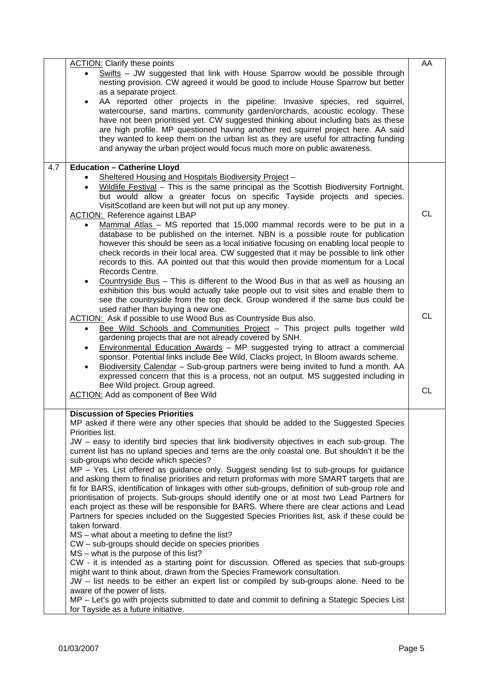|                        | <b>ACTION:</b> Clarify these points                                                                                                                                                                                                                                                                                                                                                                                                                                                                                                                                                                                                | AA        |
|------------------------|------------------------------------------------------------------------------------------------------------------------------------------------------------------------------------------------------------------------------------------------------------------------------------------------------------------------------------------------------------------------------------------------------------------------------------------------------------------------------------------------------------------------------------------------------------------------------------------------------------------------------------|-----------|
|                        | Swifts - JW suggested that link with House Sparrow would be possible through<br>nesting provision. CW agreed it would be good to include House Sparrow but better                                                                                                                                                                                                                                                                                                                                                                                                                                                                  |           |
|                        | as a separate project.<br>AA reported other projects in the pipeline: Invasive species, red squirrel,<br>watercourse, sand martins, community garden/orchards, acoustic ecology. These<br>have not been prioritised yet. CW suggested thinking about including bats as these<br>are high profile. MP questioned having another red squirrel project here. AA said<br>they wanted to keep them on the urban list as they are useful for attracting funding<br>and anyway the urban project would focus much more on public awareness.                                                                                               |           |
| 4.7                    | <b>Education - Catherine Lloyd</b>                                                                                                                                                                                                                                                                                                                                                                                                                                                                                                                                                                                                 |           |
| $\bullet$              | Sheltered Housing and Hospitals Biodiversity Project -<br>Wildlife Festival - This is the same principal as the Scottish Biodiversity Fortnight,<br>but would allow a greater focus on specific Tayside projects and species.<br>VisitScotland are keen but will not put up any money.                                                                                                                                                                                                                                                                                                                                             |           |
| ٠                      | <b>ACTION:</b> Reference against LBAP<br>Mammal Atlas - MS reported that 15,000 mammal records were to be put in a<br>database to be published on the internet. NBN is a possible route for publication<br>however this should be seen as a local initiative focusing on enabling local people to<br>check records in their local area. CW suggested that it may be possible to link other<br>records to this. AA pointed out that this would then provide momentum for a Local<br>Records Centre.                                                                                                                                 | <b>CL</b> |
| $\bullet$              | Countryside Bus - This is different to the Wood Bus in that as well as housing an<br>exhibition this bus would actually take people out to visit sites and enable them to<br>see the countryside from the top deck. Group wondered if the same bus could be<br>used rather than buying a new one.<br>ACTION: Ask if possible to use Wood Bus as Countryside Bus also.<br>Bee Wild Schools and Communities Project - This project pulls together wild<br>gardening projects that are not already covered by SNH.                                                                                                                    | <b>CL</b> |
| $\bullet$<br>$\bullet$ | Environmental Education Awards - MP suggested trying to attract a commercial<br>sponsor. Potential links include Bee Wild, Clacks project, In Bloom awards scheme.<br>Biodiversity Calendar - Sub-group partners were being invited to fund a month. AA<br>expressed concern that this is a process, not an output. MS suggested including in<br>Bee Wild project. Group agreed.                                                                                                                                                                                                                                                   | <b>CL</b> |
|                        | <b>ACTION:</b> Add as component of Bee Wild                                                                                                                                                                                                                                                                                                                                                                                                                                                                                                                                                                                        |           |
| Priorities list.       | <b>Discussion of Species Priorities</b><br>MP asked if there were any other species that should be added to the Suggested Species<br>JW - easy to identify bird species that link biodiversity objectives in each sub-group. The<br>current list has no upland species and terns are the only coastal one. But shouldn't it be the                                                                                                                                                                                                                                                                                                 |           |
| taken forward.         | sub-groups who decide which species?<br>MP - Yes. List offered as guidance only. Suggest sending list to sub-groups for guidance<br>and asking them to finalise priorities and return proformas with more SMART targets that are<br>fit for BARS, identification of linkages with other sub-groups, definition of sub-group role and<br>prioritisation of projects. Sub-groups should identify one or at most two Lead Partners for<br>each project as these will be responsible for BARS. Where there are clear actions and Lead<br>Partners for species included on the Suggested Species Priorities list, ask if these could be |           |
|                        | MS – what about a meeting to define the list?<br>CW - sub-groups should decide on species priorities<br>MS - what is the purpose of this list?<br>CW - it is intended as a starting point for discussion. Offered as species that sub-groups<br>might want to think about, drawn from the Species Framework consultation.                                                                                                                                                                                                                                                                                                          |           |
|                        | JW – list needs to be either an expert list or compiled by sub-groups alone. Need to be<br>aware of the power of lists.<br>MP - Let's go with projects submitted to date and commit to defining a Stategic Species List<br>for Tayside as a future initiative.                                                                                                                                                                                                                                                                                                                                                                     |           |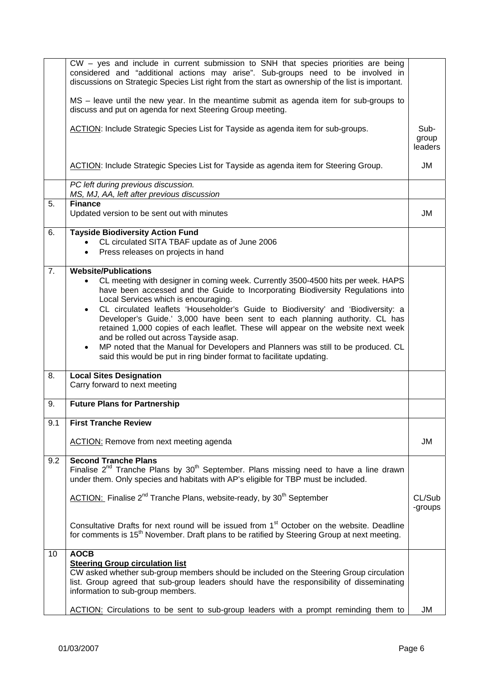|     | CW - yes and include in current submission to SNH that species priorities are being<br>considered and "additional actions may arise". Sub-groups need to be involved in                                             |                          |
|-----|---------------------------------------------------------------------------------------------------------------------------------------------------------------------------------------------------------------------|--------------------------|
|     | discussions on Strategic Species List right from the start as ownership of the list is important.                                                                                                                   |                          |
|     | MS - leave until the new year. In the meantime submit as agenda item for sub-groups to<br>discuss and put on agenda for next Steering Group meeting.                                                                |                          |
|     | ACTION: Include Strategic Species List for Tayside as agenda item for sub-groups.                                                                                                                                   | Sub-<br>group<br>leaders |
|     | ACTION: Include Strategic Species List for Tayside as agenda item for Steering Group.                                                                                                                               | JM                       |
|     | PC left during previous discussion.                                                                                                                                                                                 |                          |
|     | MS, MJ, AA, left after previous discussion<br><b>Finance</b>                                                                                                                                                        |                          |
| 5.  | Updated version to be sent out with minutes                                                                                                                                                                         | JM                       |
| 6.  | <b>Tayside Biodiversity Action Fund</b>                                                                                                                                                                             |                          |
|     | CL circulated SITA TBAF update as of June 2006                                                                                                                                                                      |                          |
|     | Press releases on projects in hand<br>$\bullet$                                                                                                                                                                     |                          |
| 7.  | <b>Website/Publications</b>                                                                                                                                                                                         |                          |
|     | CL meeting with designer in coming week. Currently 3500-4500 hits per week. HAPS<br>$\bullet$                                                                                                                       |                          |
|     | have been accessed and the Guide to Incorporating Biodiversity Regulations into                                                                                                                                     |                          |
|     | Local Services which is encouraging.                                                                                                                                                                                |                          |
|     | CL circulated leaflets 'Householder's Guide to Biodiversity' and 'Biodiversity: a<br>$\bullet$                                                                                                                      |                          |
|     | Developer's Guide.' 3,000 have been sent to each planning authority. CL has                                                                                                                                         |                          |
|     | retained 1,000 copies of each leaflet. These will appear on the website next week<br>and be rolled out across Tayside asap.                                                                                         |                          |
|     | MP noted that the Manual for Developers and Planners was still to be produced. CL                                                                                                                                   |                          |
|     | said this would be put in ring binder format to facilitate updating.                                                                                                                                                |                          |
| 8.  | <b>Local Sites Designation</b>                                                                                                                                                                                      |                          |
|     | Carry forward to next meeting                                                                                                                                                                                       |                          |
| 9.  | <b>Future Plans for Partnership</b>                                                                                                                                                                                 |                          |
|     |                                                                                                                                                                                                                     |                          |
| 9.1 | <b>First Tranche Review</b>                                                                                                                                                                                         |                          |
|     | <b>ACTION:</b> Remove from next meeting agenda                                                                                                                                                                      | JM                       |
| 9.2 | <b>Second Tranche Plans</b>                                                                                                                                                                                         |                          |
|     | Finalise $2^{nd}$ Tranche Plans by $30^{th}$ September. Plans missing need to have a line drawn<br>under them. Only species and habitats with AP's eligible for TBP must be included.                               |                          |
|     | <b>ACTION:</b> Finalise 2 <sup>nd</sup> Tranche Plans, website-ready, by 30 <sup>th</sup> September                                                                                                                 | CL/Sub                   |
|     |                                                                                                                                                                                                                     | -groups                  |
|     | Consultative Drafts for next round will be issued from 1 <sup>st</sup> October on the website. Deadline<br>for comments is 15 <sup>th</sup> November. Draft plans to be ratified by Steering Group at next meeting. |                          |
| 10  | <b>AOCB</b>                                                                                                                                                                                                         |                          |
|     | <b>Steering Group circulation list</b>                                                                                                                                                                              |                          |
|     | CW asked whether sub-group members should be included on the Steering Group circulation<br>list. Group agreed that sub-group leaders should have the responsibility of disseminating                                |                          |
|     | information to sub-group members.                                                                                                                                                                                   |                          |
|     |                                                                                                                                                                                                                     |                          |
|     | ACTION: Circulations to be sent to sub-group leaders with a prompt reminding them to                                                                                                                                | JM                       |